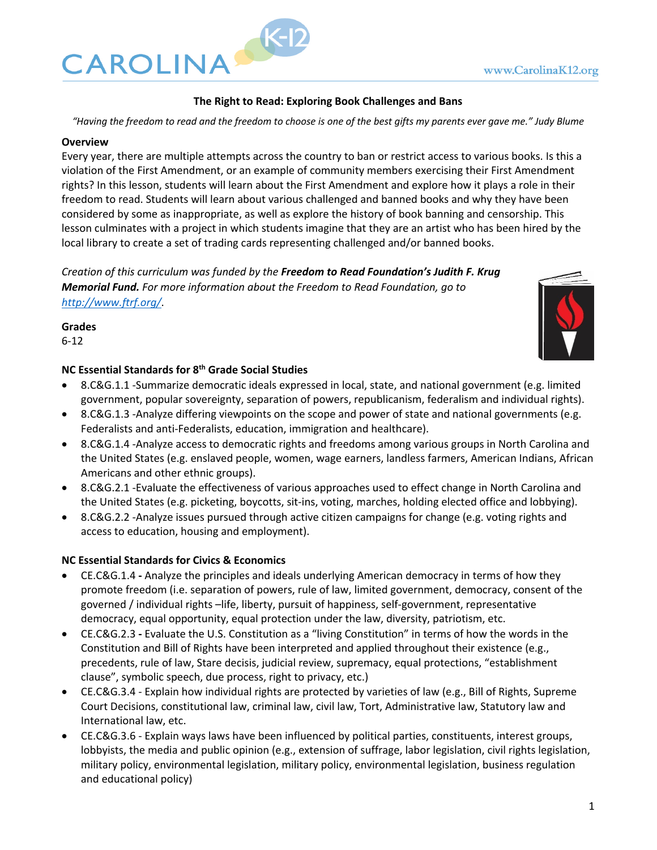

# **The Right to Read: Exploring Book Challenges and Bans**

*"Having the freedom to read and the freedom to choose is one of the best gifts my parents ever gave me." Judy Blume*

#### **Overview**

Every year, there are multiple attempts across the country to ban or restrict access to various books. Is this a violation of the First Amendment, or an example of community members exercising their First Amendment rights? In this lesson, students will learn about the First Amendment and explore how it plays a role in their freedom to read. Students will learn about various challenged and banned books and why they have been considered by some as inappropriate, as well as explore the history of book banning and censorship. This lesson culminates with a project in which students imagine that they are an artist who has been hired by the local library to create a set of trading cards representing challenged and/or banned books.

*Creation of this curriculum was funded by the Freedom to Read Foundation's Judith F. Krug Memorial Fund. For more information about the Freedom to Read Foundation, go to http://www.ftrf.org/*.

**Grades** 6-12

### **NC Essential Standards for 8th Grade Social Studies**

- 8.C&G.1.1 -Summarize democratic ideals expressed in local, state, and national government (e.g. limited government, popular sovereignty, separation of powers, republicanism, federalism and individual rights).
- 8.C&G.1.3 -Analyze differing viewpoints on the scope and power of state and national governments (e.g. Federalists and anti-Federalists, education, immigration and healthcare).
- 8.C&G.1.4 -Analyze access to democratic rights and freedoms among various groups in North Carolina and the United States (e.g. enslaved people, women, wage earners, landless farmers, American Indians, African Americans and other ethnic groups).
- 8.C&G.2.1 -Evaluate the effectiveness of various approaches used to effect change in North Carolina and the United States (e.g. picketing, boycotts, sit-ins, voting, marches, holding elected office and lobbying).
- 8.C&G.2.2 -Analyze issues pursued through active citizen campaigns for change (e.g. voting rights and access to education, housing and employment).

#### **NC Essential Standards for Civics & Economics**

- CE.C&G.1.4 **-** Analyze the principles and ideals underlying American democracy in terms of how they promote freedom (i.e. separation of powers, rule of law, limited government, democracy, consent of the governed / individual rights –life, liberty, pursuit of happiness, self-government, representative democracy, equal opportunity, equal protection under the law, diversity, patriotism, etc.
- CE.C&G.2.3 **-** Evaluate the U.S. Constitution as a "living Constitution" in terms of how the words in the Constitution and Bill of Rights have been interpreted and applied throughout their existence (e.g., precedents, rule of law, Stare decisis, judicial review, supremacy, equal protections, "establishment clause", symbolic speech, due process, right to privacy, etc.)
- CE.C&G.3.4 Explain how individual rights are protected by varieties of law (e.g., Bill of Rights, Supreme Court Decisions, constitutional law, criminal law, civil law, Tort, Administrative law, Statutory law and International law, etc.
- CE.C&G.3.6 Explain ways laws have been influenced by political parties, constituents, interest groups, lobbyists, the media and public opinion (e.g., extension of suffrage, labor legislation, civil rights legislation, military policy, environmental legislation, military policy, environmental legislation, business regulation and educational policy)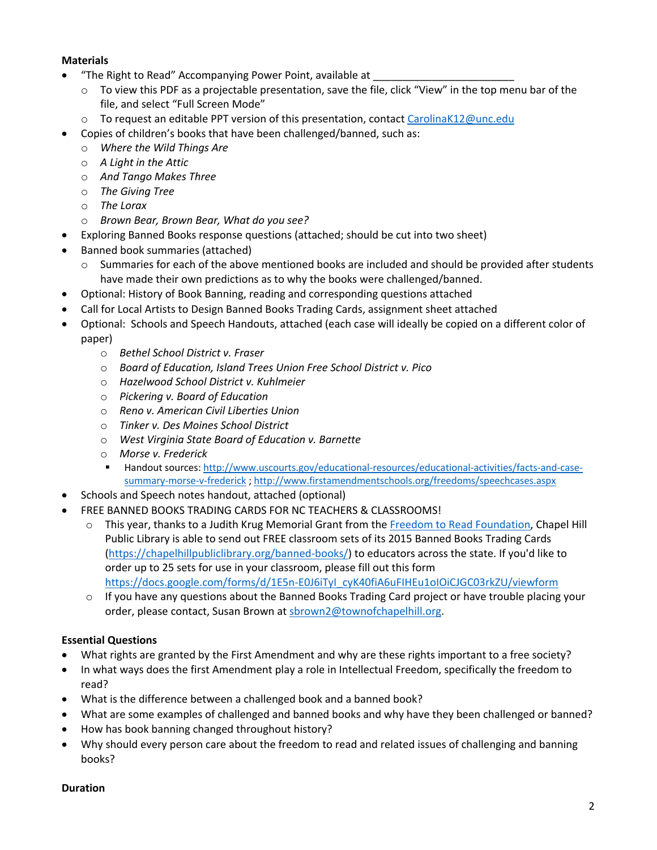#### **Materials**

- "The Right to Read" Accompanying Power Point, available at \_\_\_\_\_\_\_\_\_\_\_\_\_\_\_\_\_\_\_\_\_\_\_\_
	- $\circ$  To view this PDF as a projectable presentation, save the file, click "View" in the top menu bar of the file, and select "Full Screen Mode"
	- o To request an editable PPT version of this presentation, contact CarolinaK12@unc.edu
- Copies of children's books that have been challenged/banned, such as:
	- o *Where the Wild Things Are*
	- o *A Light in the Attic*
	- o *And Tango Makes Three*
	- o *The Giving Tree*
	- o *The Lorax*
	- o *Brown Bear, Brown Bear, What do you see?*
- Exploring Banned Books response questions (attached; should be cut into two sheet)
- Banned book summaries (attached)
	- o Summaries for each of the above mentioned books are included and should be provided after students have made their own predictions as to why the books were challenged/banned.
- Optional: History of Book Banning, reading and corresponding questions attached
- Call for Local Artists to Design Banned Books Trading Cards, assignment sheet attached
- Optional: Schools and Speech Handouts, attached (each case will ideally be copied on a different color of paper)
	- o *Bethel School District v. Fraser*
	- o *Board of Education, Island Trees Union Free School District v. Pico*
	- o *Hazelwood School District v. Kuhlmeier*
	- o *Pickering v. Board of Education*
	- o *Reno v. American Civil Liberties Union*
	- o *Tinker v. Des Moines School District*
	- o *West Virginia State Board of Education v. Barnette*
	- o *Morse v. Frederick*
	- § Handout sources: http://www.uscourts.gov/educational-resources/educational-activities/facts-and-casesummary-morse-v-frederick ; http://www.firstamendmentschools.org/freedoms/speechcases.aspx
- Schools and Speech notes handout, attached (optional)
- FREE BANNED BOOKS TRADING CARDS FOR NC TEACHERS & CLASSROOMS!
	- o This year, thanks to a Judith Krug Memorial Grant from the Freedom to Read Foundation, Chapel Hill Public Library is able to send out FREE classroom sets of its 2015 Banned Books Trading Cards (https://chapelhillpubliclibrary.org/banned-books/) to educators across the state. If you'd like to order up to 25 sets for use in your classroom, please fill out this form https://docs.google.com/forms/d/1E5n-E0J6iTyI\_cyK40fiA6uFIHEu1oIOiCJGC03rkZU/viewform
	- $\circ$  If you have any questions about the Banned Books Trading Card project or have trouble placing your order, please contact, Susan Brown at sbrown2@townofchapelhill.org.

# **Essential Questions**

- What rights are granted by the First Amendment and why are these rights important to a free society?
- In what ways does the first Amendment play a role in Intellectual Freedom, specifically the freedom to read?
- What is the difference between a challenged book and a banned book?
- What are some examples of challenged and banned books and why have they been challenged or banned?
- How has book banning changed throughout history?
- Why should every person care about the freedom to read and related issues of challenging and banning books?

#### **Duration**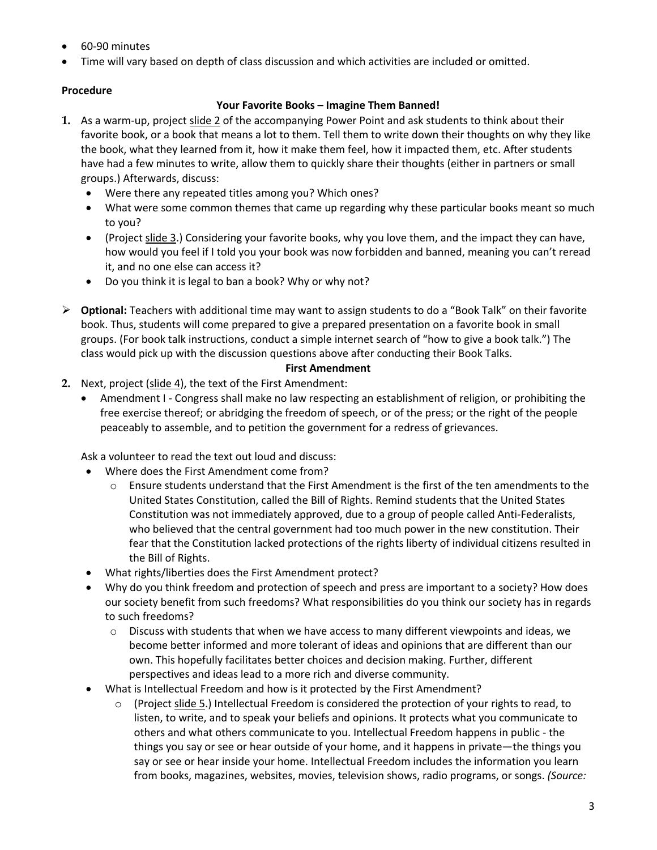- 60-90 minutes
- Time will vary based on depth of class discussion and which activities are included or omitted.

# **Procedure**

# **Your Favorite Books – Imagine Them Banned!**

- **1.** As a warm-up, project slide 2 of the accompanying Power Point and ask students to think about their favorite book, or a book that means a lot to them. Tell them to write down their thoughts on why they like the book, what they learned from it, how it make them feel, how it impacted them, etc. After students have had a few minutes to write, allow them to quickly share their thoughts (either in partners or small groups.) Afterwards, discuss:
	- Were there any repeated titles among you? Which ones?
	- What were some common themes that came up regarding why these particular books meant so much to you?
	- (Project slide 3.) Considering your favorite books, why you love them, and the impact they can have, how would you feel if I told you your book was now forbidden and banned, meaning you can't reread it, and no one else can access it?
	- Do you think it is legal to ban a book? Why or why not?
- Ø **Optional:** Teachers with additional time may want to assign students to do a "Book Talk" on their favorite book. Thus, students will come prepared to give a prepared presentation on a favorite book in small groups. (For book talk instructions, conduct a simple internet search of "how to give a book talk.") The class would pick up with the discussion questions above after conducting their Book Talks.

# **First Amendment**

- **2.** Next, project (slide 4), the text of the First Amendment:
	- Amendment I Congress shall make no law respecting an establishment of religion, or prohibiting the free exercise thereof; or abridging the freedom of speech, or of the press; or the right of the people peaceably to assemble, and to petition the government for a redress of grievances.

Ask a volunteer to read the text out loud and discuss:

- Where does the First Amendment come from?
	- $\circ$  Ensure students understand that the First Amendment is the first of the ten amendments to the United States Constitution, called the Bill of Rights. Remind students that the United States Constitution was not immediately approved, due to a group of people called Anti-Federalists, who believed that the central government had too much power in the new constitution. Their fear that the Constitution lacked protections of the rights liberty of individual citizens resulted in the Bill of Rights.
- What rights/liberties does the First Amendment protect?
- Why do you think freedom and protection of speech and press are important to a society? How does our society benefit from such freedoms? What responsibilities do you think our society has in regards to such freedoms?
	- $\circ$  Discuss with students that when we have access to many different viewpoints and ideas, we become better informed and more tolerant of ideas and opinions that are different than our own. This hopefully facilitates better choices and decision making. Further, different perspectives and ideas lead to a more rich and diverse community.
- What is Intellectual Freedom and how is it protected by the First Amendment?
	- $\circ$  (Project slide 5.) Intellectual Freedom is considered the protection of your rights to read, to listen, to write, and to speak your beliefs and opinions. It protects what you communicate to others and what others communicate to you. Intellectual Freedom happens in public - the things you say or see or hear outside of your home, and it happens in private—the things you say or see or hear inside your home. Intellectual Freedom includes the information you learn from books, magazines, websites, movies, television shows, radio programs, or songs. *(Source:*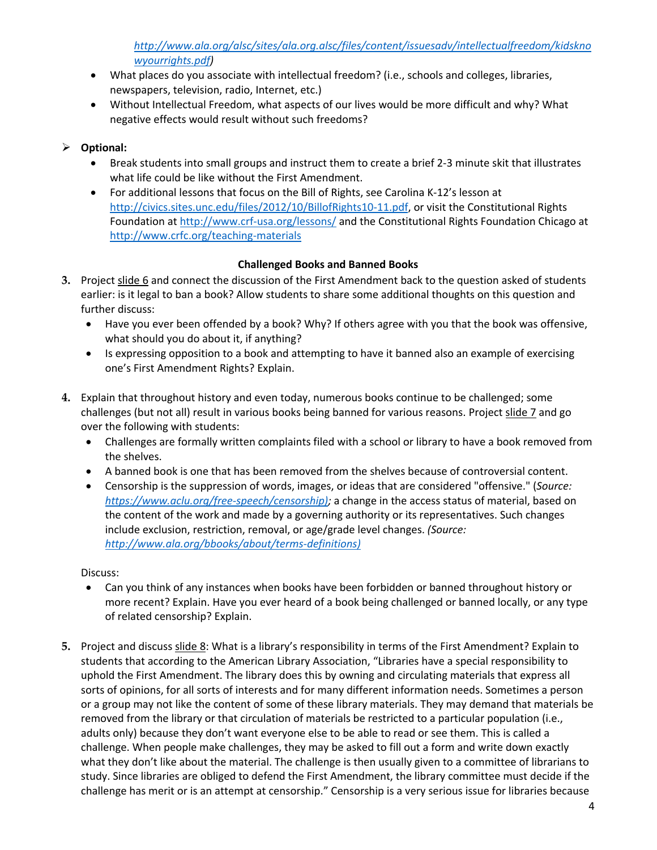*http://www.ala.org/alsc/sites/ala.org.alsc/files/content/issuesadv/intellectualfreedom/kidskno wyourrights.pdf)*

- What places do you associate with intellectual freedom? (i.e., schools and colleges, libraries, newspapers, television, radio, Internet, etc.)
- Without Intellectual Freedom, what aspects of our lives would be more difficult and why? What negative effects would result without such freedoms?
- Ø **Optional:**
	- Break students into small groups and instruct them to create a brief 2-3 minute skit that illustrates what life could be like without the First Amendment.
	- For additional lessons that focus on the Bill of Rights, see Carolina K-12's lesson at http://civics.sites.unc.edu/files/2012/10/BillofRights10-11.pdf, or visit the Constitutional Rights Foundation at http://www.crf-usa.org/lessons/ and the Constitutional Rights Foundation Chicago at http://www.crfc.org/teaching-materials

# **Challenged Books and Banned Books**

- **3.** Project slide 6 and connect the discussion of the First Amendment back to the question asked of students earlier: is it legal to ban a book? Allow students to share some additional thoughts on this question and further discuss:
	- Have you ever been offended by a book? Why? If others agree with you that the book was offensive, what should you do about it, if anything?
	- Is expressing opposition to a book and attempting to have it banned also an example of exercising one's First Amendment Rights? Explain.
- **4.** Explain that throughout history and even today, numerous books continue to be challenged; some challenges (but not all) result in various books being banned for various reasons. Project slide 7 and go over the following with students:
	- Challenges are formally written complaints filed with a school or library to have a book removed from the shelves.
	- A banned book is one that has been removed from the shelves because of controversial content.
	- Censorship is the suppression of words, images, or ideas that are considered "offensive." (*Source: https://www.aclu.org/free-speech/censorship);* a change in the access status of material, based on the content of the work and made by a governing authority or its representatives. Such changes include exclusion, restriction, removal, or age/grade level changes. *(Source: http://www.ala.org/bbooks/about/terms-definitions)*

Discuss:

- Can you think of any instances when books have been forbidden or banned throughout history or more recent? Explain. Have you ever heard of a book being challenged or banned locally, or any type of related censorship? Explain.
- **5.** Project and discuss slide 8: What is a library's responsibility in terms of the First Amendment? Explain to students that according to the American Library Association, "Libraries have a special responsibility to uphold the First Amendment. The library does this by owning and circulating materials that express all sorts of opinions, for all sorts of interests and for many different information needs. Sometimes a person or a group may not like the content of some of these library materials. They may demand that materials be removed from the library or that circulation of materials be restricted to a particular population (i.e., adults only) because they don't want everyone else to be able to read or see them. This is called a challenge. When people make challenges, they may be asked to fill out a form and write down exactly what they don't like about the material. The challenge is then usually given to a committee of librarians to study. Since libraries are obliged to defend the First Amendment, the library committee must decide if the challenge has merit or is an attempt at censorship." Censorship is a very serious issue for libraries because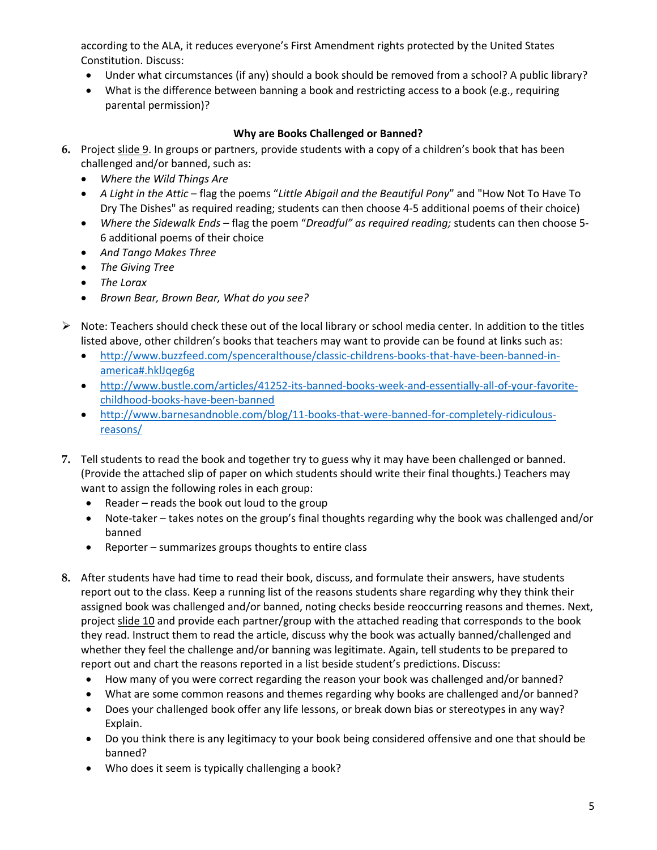according to the ALA, it reduces everyone's First Amendment rights protected by the United States Constitution. Discuss:

- Under what circumstances (if any) should a book should be removed from a school? A public library?
- What is the difference between banning a book and restricting access to a book (e.g., requiring parental permission)?

# **Why are Books Challenged or Banned?**

- **6.** Project slide 9. In groups or partners, provide students with a copy of a children's book that has been challenged and/or banned, such as:
	- *Where the Wild Things Are*
	- *A Light in the Attic* flag the poems "*Little Abigail and the Beautiful Pony*" and "How Not To Have To Dry The Dishes" as required reading; students can then choose 4-5 additional poems of their choice)
	- *Where the Sidewalk Ends –* flag the poem "*Dreadful" as required reading;* students can then choose 5- 6 additional poems of their choice
	- *And Tango Makes Three*
	- *The Giving Tree*
	- *The Lorax*
	- *Brown Bear, Brown Bear, What do you see?*
- $\triangleright$  Note: Teachers should check these out of the local library or school media center. In addition to the titles listed above, other children's books that teachers may want to provide can be found at links such as:
	- http://www.buzzfeed.com/spenceralthouse/classic-childrens-books-that-have-been-banned-inamerica#.hklJqeg6g
	- http://www.bustle.com/articles/41252-its-banned-books-week-and-essentially-all-of-your-favoritechildhood-books-have-been-banned
	- http://www.barnesandnoble.com/blog/11-books-that-were-banned-for-completely-ridiculousreasons/
- **7.** Tell students to read the book and together try to guess why it may have been challenged or banned. (Provide the attached slip of paper on which students should write their final thoughts.) Teachers may want to assign the following roles in each group:
	- Reader reads the book out loud to the group
	- Note-taker takes notes on the group's final thoughts regarding why the book was challenged and/or banned
	- Reporter summarizes groups thoughts to entire class
- **8.** After students have had time to read their book, discuss, and formulate their answers, have students report out to the class. Keep a running list of the reasons students share regarding why they think their assigned book was challenged and/or banned, noting checks beside reoccurring reasons and themes. Next, project slide 10 and provide each partner/group with the attached reading that corresponds to the book they read. Instruct them to read the article, discuss why the book was actually banned/challenged and whether they feel the challenge and/or banning was legitimate. Again, tell students to be prepared to report out and chart the reasons reported in a list beside student's predictions. Discuss:
	- How many of you were correct regarding the reason your book was challenged and/or banned?
	- What are some common reasons and themes regarding why books are challenged and/or banned?
	- Does your challenged book offer any life lessons, or break down bias or stereotypes in any way? Explain.
	- Do you think there is any legitimacy to your book being considered offensive and one that should be banned?
	- Who does it seem is typically challenging a book?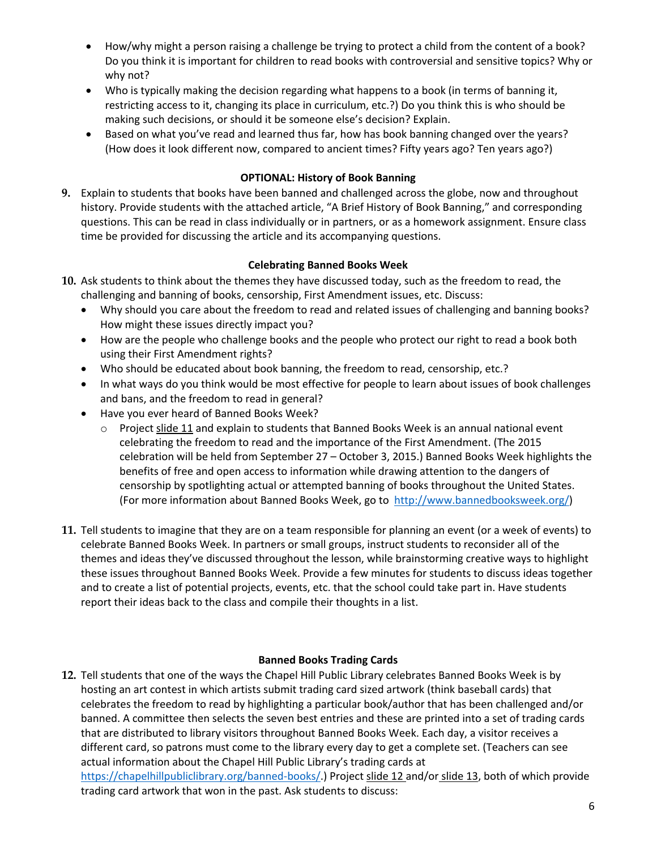- How/why might a person raising a challenge be trying to protect a child from the content of a book? Do you think it is important for children to read books with controversial and sensitive topics? Why or why not?
- Who is typically making the decision regarding what happens to a book (in terms of banning it, restricting access to it, changing its place in curriculum, etc.?) Do you think this is who should be making such decisions, or should it be someone else's decision? Explain.
- Based on what you've read and learned thus far, how has book banning changed over the years? (How does it look different now, compared to ancient times? Fifty years ago? Ten years ago?)

# **OPTIONAL: History of Book Banning**

**9.** Explain to students that books have been banned and challenged across the globe, now and throughout history. Provide students with the attached article, "A Brief History of Book Banning," and corresponding questions. This can be read in class individually or in partners, or as a homework assignment. Ensure class time be provided for discussing the article and its accompanying questions.

# **Celebrating Banned Books Week**

- **10.** Ask students to think about the themes they have discussed today, such as the freedom to read, the challenging and banning of books, censorship, First Amendment issues, etc. Discuss:
	- Why should you care about the freedom to read and related issues of challenging and banning books? How might these issues directly impact you?
	- How are the people who challenge books and the people who protect our right to read a book both using their First Amendment rights?
	- Who should be educated about book banning, the freedom to read, censorship, etc.?
	- In what ways do you think would be most effective for people to learn about issues of book challenges and bans, and the freedom to read in general?
	- Have you ever heard of Banned Books Week?
		- o Project slide 11 and explain to students that Banned Books Week is an annual national event celebrating the freedom to read and the importance of the First Amendment. (The 2015 celebration will be held from September 27 – October 3, 2015.) Banned Books Week highlights the benefits of free and open access to information while drawing attention to the dangers of censorship by spotlighting actual or attempted banning of books throughout the United States. (For more information about Banned Books Week, go to http://www.bannedbooksweek.org/)
- **11.** Tell students to imagine that they are on a team responsible for planning an event (or a week of events) to celebrate Banned Books Week. In partners or small groups, instruct students to reconsider all of the themes and ideas they've discussed throughout the lesson, while brainstorming creative ways to highlight these issues throughout Banned Books Week. Provide a few minutes for students to discuss ideas together and to create a list of potential projects, events, etc. that the school could take part in. Have students report their ideas back to the class and compile their thoughts in a list.

# **Banned Books Trading Cards**

**12.** Tell students that one of the ways the Chapel Hill Public Library celebrates Banned Books Week is by hosting an art contest in which artists submit trading card sized artwork (think baseball cards) that celebrates the freedom to read by highlighting a particular book/author that has been challenged and/or banned. A committee then selects the seven best entries and these are printed into a set of trading cards that are distributed to library visitors throughout Banned Books Week. Each day, a visitor receives a different card, so patrons must come to the library every day to get a complete set. (Teachers can see actual information about the Chapel Hill Public Library's trading cards at https://chapelhillpubliclibrary.org/banned-books/.) Project slide 12 and/or slide 13, both of which provide

trading card artwork that won in the past. Ask students to discuss: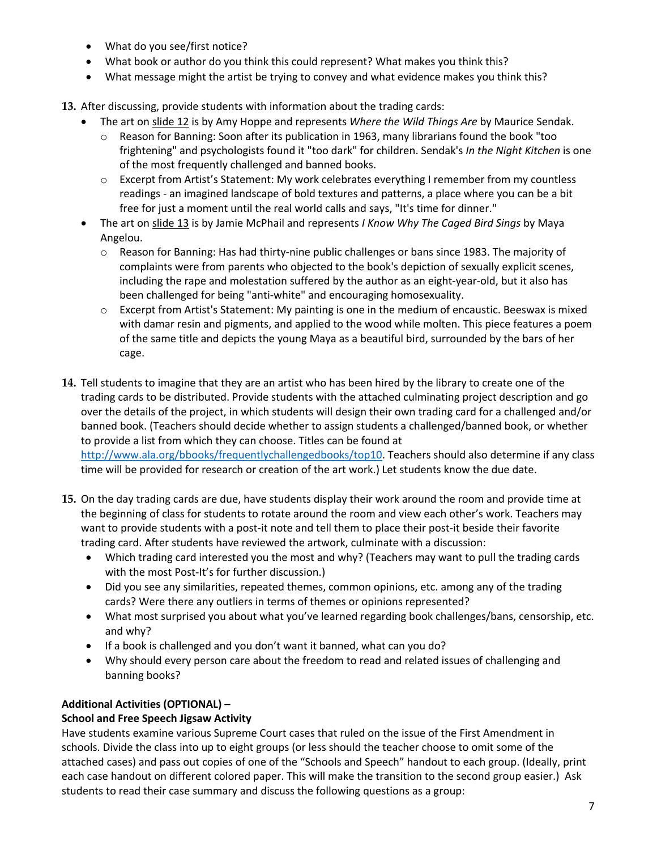- What do you see/first notice?
- What book or author do you think this could represent? What makes you think this?
- What message might the artist be trying to convey and what evidence makes you think this?
- **13.** After discussing, provide students with information about the trading cards:
	- The art on slide 12 is by Amy Hoppe and represents *Where the Wild Things Are* by Maurice Sendak.
		- $\circ$  Reason for Banning: Soon after its publication in 1963, many librarians found the book "too" frightening" and psychologists found it "too dark" for children. Sendak's *In the Night Kitchen* is one of the most frequently challenged and banned books.
		- $\circ$  Excerpt from Artist's Statement: My work celebrates everything I remember from my countless readings - an imagined landscape of bold textures and patterns, a place where you can be a bit free for just a moment until the real world calls and says, "It's time for dinner."
	- The art on slide 13 is by Jamie McPhail and represents *I Know Why The Caged Bird Sings* by Maya Angelou.
		- o Reason for Banning: Has had thirty-nine public challenges or bans since 1983. The majority of complaints were from parents who objected to the book's depiction of sexually explicit scenes, including the rape and molestation suffered by the author as an eight-year-old, but it also has been challenged for being "anti-white" and encouraging homosexuality.
		- $\circ$  Excerpt from Artist's Statement: My painting is one in the medium of encaustic. Beeswax is mixed with damar resin and pigments, and applied to the wood while molten. This piece features a poem of the same title and depicts the young Maya as a beautiful bird, surrounded by the bars of her cage.
- **14.** Tell students to imagine that they are an artist who has been hired by the library to create one of the trading cards to be distributed. Provide students with the attached culminating project description and go over the details of the project, in which students will design their own trading card for a challenged and/or banned book. (Teachers should decide whether to assign students a challenged/banned book, or whether to provide a list from which they can choose. Titles can be found at http://www.ala.org/bbooks/frequentlychallengedbooks/top10. Teachers should also determine if any class

time will be provided for research or creation of the art work.) Let students know the due date.

- **15.** On the day trading cards are due, have students display their work around the room and provide time at the beginning of class for students to rotate around the room and view each other's work. Teachers may want to provide students with a post-it note and tell them to place their post-it beside their favorite trading card. After students have reviewed the artwork, culminate with a discussion:
	- Which trading card interested you the most and why? (Teachers may want to pull the trading cards with the most Post-It's for further discussion.)
	- Did you see any similarities, repeated themes, common opinions, etc. among any of the trading cards? Were there any outliers in terms of themes or opinions represented?
	- What most surprised you about what you've learned regarding book challenges/bans, censorship, etc. and why?
	- If a book is challenged and you don't want it banned, what can you do?
	- Why should every person care about the freedom to read and related issues of challenging and banning books?

# **Additional Activities (OPTIONAL) –**

# **School and Free Speech Jigsaw Activity**

Have students examine various Supreme Court cases that ruled on the issue of the First Amendment in schools. Divide the class into up to eight groups (or less should the teacher choose to omit some of the attached cases) and pass out copies of one of the "Schools and Speech" handout to each group. (Ideally, print each case handout on different colored paper. This will make the transition to the second group easier.) Ask students to read their case summary and discuss the following questions as a group: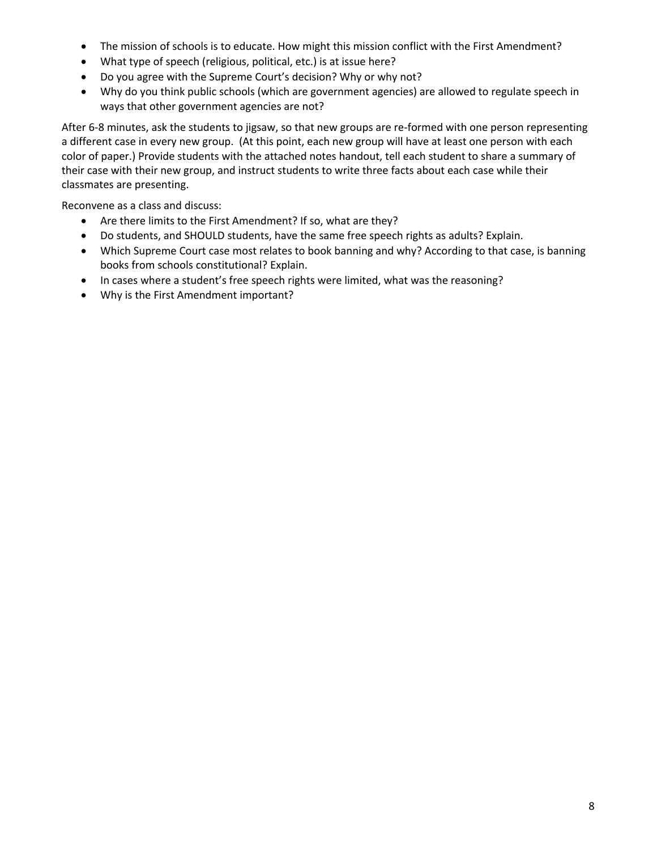- The mission of schools is to educate. How might this mission conflict with the First Amendment?
- What type of speech (religious, political, etc.) is at issue here?
- Do you agree with the Supreme Court's decision? Why or why not?
- Why do you think public schools (which are government agencies) are allowed to regulate speech in ways that other government agencies are not?

After 6-8 minutes, ask the students to jigsaw, so that new groups are re-formed with one person representing a different case in every new group. (At this point, each new group will have at least one person with each color of paper.) Provide students with the attached notes handout, tell each student to share a summary of their case with their new group, and instruct students to write three facts about each case while their classmates are presenting.

Reconvene as a class and discuss:

- Are there limits to the First Amendment? If so, what are they?
- Do students, and SHOULD students, have the same free speech rights as adults? Explain.
- Which Supreme Court case most relates to book banning and why? According to that case, is banning books from schools constitutional? Explain.
- In cases where a student's free speech rights were limited, what was the reasoning?
- Why is the First Amendment important?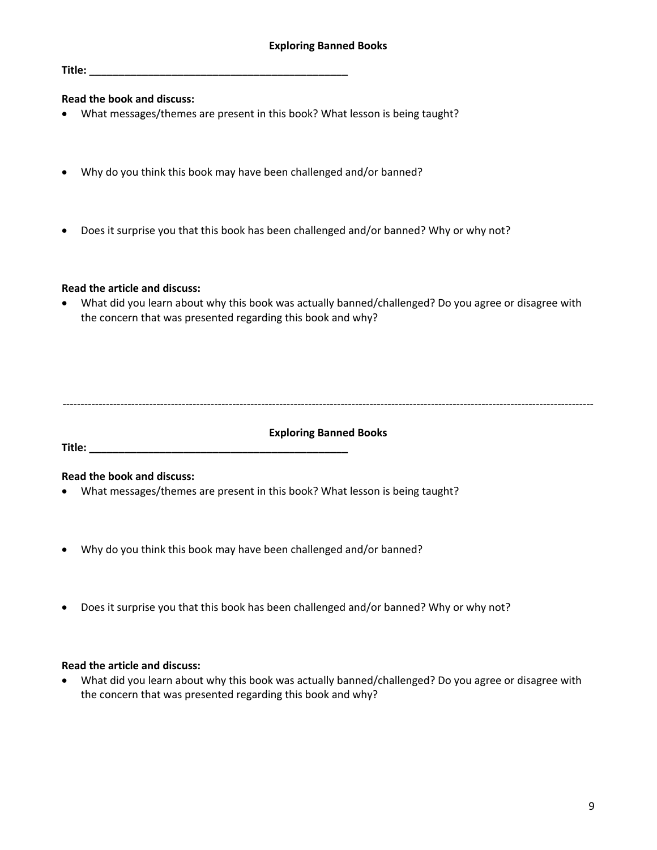#### **Title: \_\_\_\_\_\_\_\_\_\_\_\_\_\_\_\_\_\_\_\_\_\_\_\_\_\_\_\_\_\_\_\_\_\_\_\_\_\_\_\_\_\_\_\_**

#### **Read the book and discuss:**

- What messages/themes are present in this book? What lesson is being taught?
- Why do you think this book may have been challenged and/or banned?
- Does it surprise you that this book has been challenged and/or banned? Why or why not?

#### **Read the article and discuss:**

• What did you learn about why this book was actually banned/challenged? Do you agree or disagree with the concern that was presented regarding this book and why?

---------------------------------------------------------------------------------------------------------------------------------------------------

#### **Exploring Banned Books**

**Title: Title:** *Title:* 

#### **Read the book and discuss:**

- What messages/themes are present in this book? What lesson is being taught?
- Why do you think this book may have been challenged and/or banned?
- Does it surprise you that this book has been challenged and/or banned? Why or why not?

#### **Read the article and discuss:**

• What did you learn about why this book was actually banned/challenged? Do you agree or disagree with the concern that was presented regarding this book and why?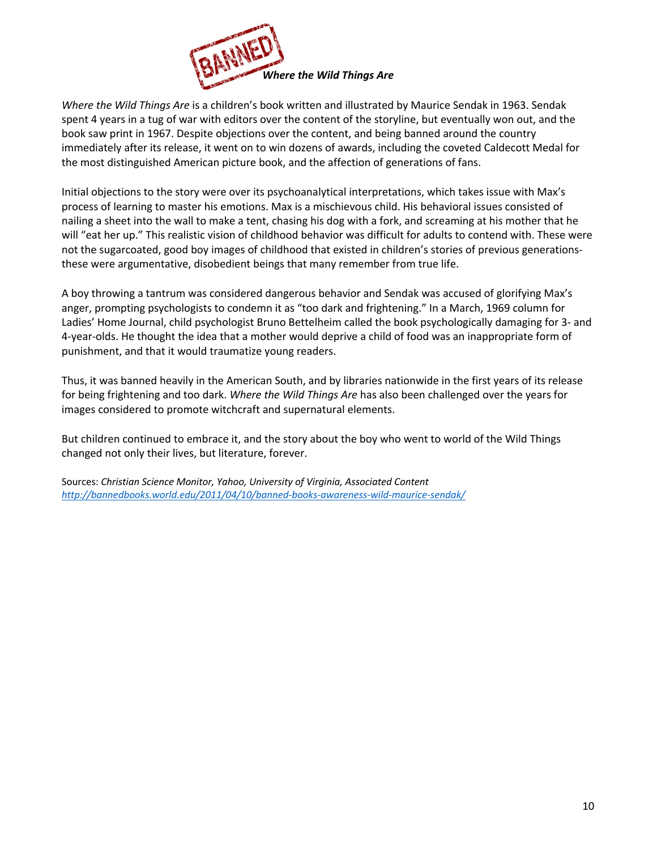

*Where the Wild Things Are* is a children's book written and illustrated by Maurice Sendak in 1963. Sendak spent 4 years in a tug of war with editors over the content of the storyline, but eventually won out, and the book saw print in 1967. Despite objections over the content, and being banned around the country immediately after its release, it went on to win dozens of awards, including the coveted Caldecott Medal for the most distinguished American picture book, and the affection of generations of fans.

Initial objections to the story were over its psychoanalytical interpretations, which takes issue with Max's process of learning to master his emotions. Max is a mischievous child. His behavioral issues consisted of nailing a sheet into the wall to make a tent, chasing his dog with a fork, and screaming at his mother that he will "eat her up." This realistic vision of childhood behavior was difficult for adults to contend with. These were not the sugarcoated, good boy images of childhood that existed in children's stories of previous generationsthese were argumentative, disobedient beings that many remember from true life.

A boy throwing a tantrum was considered dangerous behavior and Sendak was accused of glorifying Max's anger, prompting psychologists to condemn it as "too dark and frightening." In a March, 1969 column for Ladies' Home Journal, child psychologist Bruno Bettelheim called the book psychologically damaging for 3- and 4-year-olds. He thought the idea that a mother would deprive a child of food was an inappropriate form of punishment, and that it would traumatize young readers.

Thus, it was banned heavily in the American South, and by libraries nationwide in the first years of its release for being frightening and too dark. *Where the Wild Things Are* has also been challenged over the years for images considered to promote witchcraft and supernatural elements.

But children continued to embrace it, and the story about the boy who went to world of the Wild Things changed not only their lives, but literature, forever.

Sources: *Christian Science Monitor, Yahoo, University of Virginia, Associated Content http://bannedbooks.world.edu/2011/04/10/banned-books-awareness-wild-maurice-sendak/*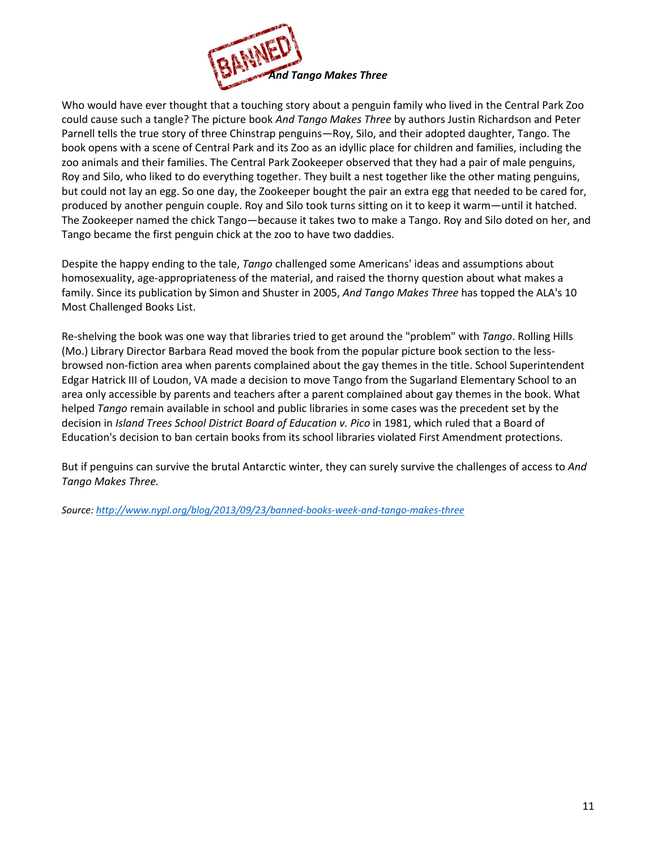

Who would have ever thought that a touching story about a penguin family who lived in the Central Park Zoo could cause such a tangle? The picture book *And Tango Makes Three* by authors Justin Richardson and Peter Parnell tells the true story of three Chinstrap penguins—Roy, Silo, and their adopted daughter, Tango. The book opens with a scene of Central Park and its Zoo as an idyllic place for children and families, including the zoo animals and their families. The Central Park Zookeeper observed that they had a pair of male penguins, Roy and Silo, who liked to do everything together. They built a nest together like the other mating penguins, but could not lay an egg. So one day, the Zookeeper bought the pair an extra egg that needed to be cared for, produced by another penguin couple. Roy and Silo took turns sitting on it to keep it warm—until it hatched. The Zookeeper named the chick Tango—because it takes two to make a Tango. Roy and Silo doted on her, and Tango became the first penguin chick at the zoo to have two daddies.

Despite the happy ending to the tale, *Tango* challenged some Americans' ideas and assumptions about homosexuality, age-appropriateness of the material, and raised the thorny question about what makes a family. Since its publication by Simon and Shuster in 2005, *And Tango Makes Three* has topped the ALA's 10 Most Challenged Books List.

Re-shelving the book was one way that libraries tried to get around the "problem" with *Tango*. Rolling Hills (Mo.) Library Director Barbara Read moved the book from the popular picture book section to the lessbrowsed non-fiction area when parents complained about the gay themes in the title. School Superintendent Edgar Hatrick III of Loudon, VA made a decision to move Tango from the Sugarland Elementary School to an area only accessible by parents and teachers after a parent complained about gay themes in the book. What helped *Tango* remain available in school and public libraries in some cases was the precedent set by the decision in *Island Trees School District Board of Education v. Pico* in 1981, which ruled that a Board of Education's decision to ban certain books from its school libraries violated First Amendment protections.

But if penguins can survive the brutal Antarctic winter, they can surely survive the challenges of access to *And Tango Makes Three.*

*Source: http://www.nypl.org/blog/2013/09/23/banned-books-week-and-tango-makes-three*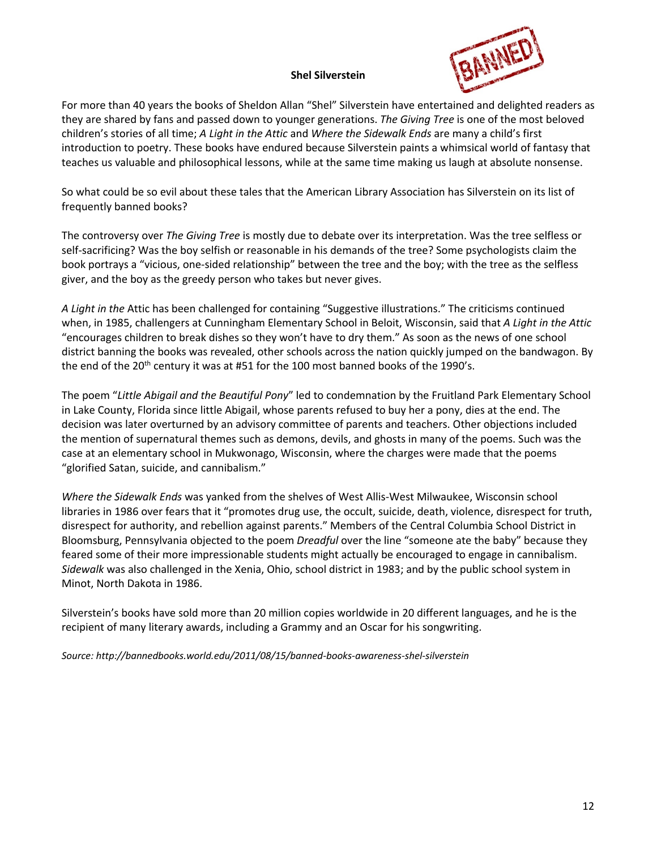#### **Shel Silverstein**



For more than 40 years the books of Sheldon Allan "Shel" Silverstein have entertained and delighted readers as they are shared by fans and passed down to younger generations. *The Giving Tree* is one of the most beloved children's stories of all time; *A Light in the Attic* and *Where the Sidewalk Ends* are many a child's first introduction to poetry. These books have endured because Silverstein paints a whimsical world of fantasy that teaches us valuable and philosophical lessons, while at the same time making us laugh at absolute nonsense.

So what could be so evil about these tales that the American Library Association has Silverstein on its list of frequently banned books?

The controversy over *The Giving Tree* is mostly due to debate over its interpretation. Was the tree selfless or self-sacrificing? Was the boy selfish or reasonable in his demands of the tree? Some psychologists claim the book portrays a "vicious, one-sided relationship" between the tree and the boy; with the tree as the selfless giver, and the boy as the greedy person who takes but never gives.

*A Light in the* Attic has been challenged for containing "Suggestive illustrations." The criticisms continued when, in 1985, challengers at Cunningham Elementary School in Beloit, Wisconsin, said that *A Light in the Attic* "encourages children to break dishes so they won't have to dry them." As soon as the news of one school district banning the books was revealed, other schools across the nation quickly jumped on the bandwagon. By the end of the 20<sup>th</sup> century it was at #51 for the 100 most banned books of the 1990's.

The poem "*Little Abigail and the Beautiful Pony*" led to condemnation by the Fruitland Park Elementary School in Lake County, Florida since little Abigail, whose parents refused to buy her a pony, dies at the end. The decision was later overturned by an advisory committee of parents and teachers. Other objections included the mention of supernatural themes such as demons, devils, and ghosts in many of the poems. Such was the case at an elementary school in Mukwonago, Wisconsin, where the charges were made that the poems "glorified Satan, suicide, and cannibalism."

*Where the Sidewalk Ends* was yanked from the shelves of West Allis-West Milwaukee, Wisconsin school libraries in 1986 over fears that it "promotes drug use, the occult, suicide, death, violence, disrespect for truth, disrespect for authority, and rebellion against parents." Members of the Central Columbia School District in Bloomsburg, Pennsylvania objected to the poem *Dreadful* over the line "someone ate the baby" because they feared some of their more impressionable students might actually be encouraged to engage in cannibalism. *Sidewalk* was also challenged in the Xenia, Ohio, school district in 1983; and by the public school system in Minot, North Dakota in 1986.

Silverstein's books have sold more than 20 million copies worldwide in 20 different languages, and he is the recipient of many literary awards, including a Grammy and an Oscar for his songwriting.

*Source: http://bannedbooks.world.edu/2011/08/15/banned-books-awareness-shel-silverstein*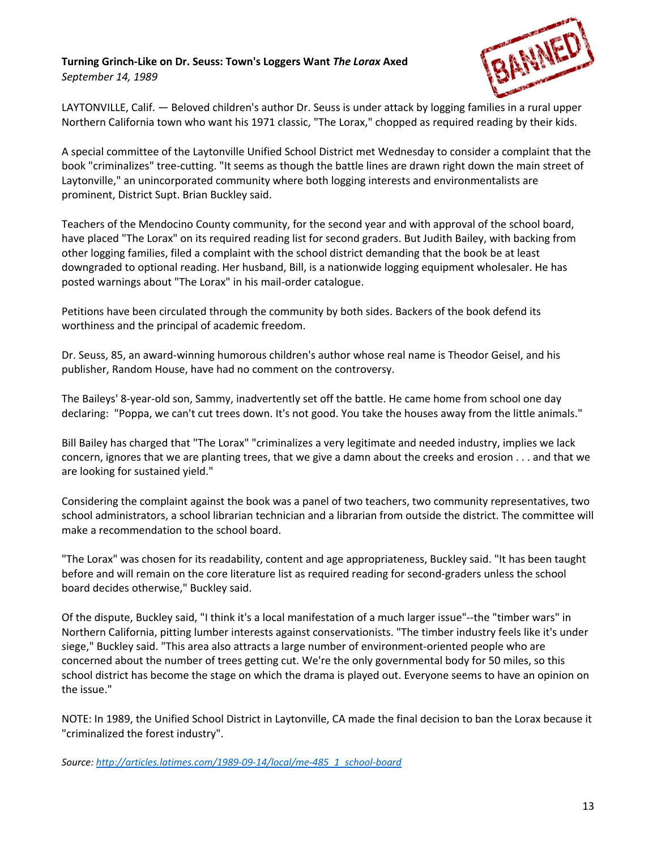# **Turning Grinch-Like on Dr. Seuss: Town's Loggers Want** *The Lorax* **Axed**



*September 14, 1989*

LAYTONVILLE, Calif. — Beloved children's author Dr. Seuss is under attack by logging families in a rural upper Northern California town who want his 1971 classic, "The Lorax," chopped as required reading by their kids.

A special committee of the Laytonville Unified School District met Wednesday to consider a complaint that the book "criminalizes" tree-cutting. "It seems as though the battle lines are drawn right down the main street of Laytonville," an unincorporated community where both logging interests and environmentalists are prominent, District Supt. Brian Buckley said.

Teachers of the Mendocino County community, for the second year and with approval of the school board, have placed "The Lorax" on its required reading list for second graders. But Judith Bailey, with backing from other logging families, filed a complaint with the school district demanding that the book be at least downgraded to optional reading. Her husband, Bill, is a nationwide logging equipment wholesaler. He has posted warnings about "The Lorax" in his mail-order catalogue.

Petitions have been circulated through the community by both sides. Backers of the book defend its worthiness and the principal of academic freedom.

Dr. Seuss, 85, an award-winning humorous children's author whose real name is Theodor Geisel, and his publisher, Random House, have had no comment on the controversy.

The Baileys' 8-year-old son, Sammy, inadvertently set off the battle. He came home from school one day declaring: "Poppa, we can't cut trees down. It's not good. You take the houses away from the little animals."

Bill Bailey has charged that "The Lorax" "criminalizes a very legitimate and needed industry, implies we lack concern, ignores that we are planting trees, that we give a damn about the creeks and erosion . . . and that we are looking for sustained yield."

Considering the complaint against the book was a panel of two teachers, two community representatives, two school administrators, a school librarian technician and a librarian from outside the district. The committee will make a recommendation to the school board.

"The Lorax" was chosen for its readability, content and age appropriateness, Buckley said. "It has been taught before and will remain on the core literature list as required reading for second-graders unless the school board decides otherwise," Buckley said.

Of the dispute, Buckley said, "I think it's a local manifestation of a much larger issue"--the "timber wars" in Northern California, pitting lumber interests against conservationists. "The timber industry feels like it's under siege," Buckley said. "This area also attracts a large number of environment-oriented people who are concerned about the number of trees getting cut. We're the only governmental body for 50 miles, so this school district has become the stage on which the drama is played out. Everyone seems to have an opinion on the issue."

NOTE: In 1989, the Unified School District in Laytonville, CA made the final decision to ban the Lorax because it "criminalized the forest industry".

*Source: http://articles.latimes.com/1989-09-14/local/me-485\_1\_school-board*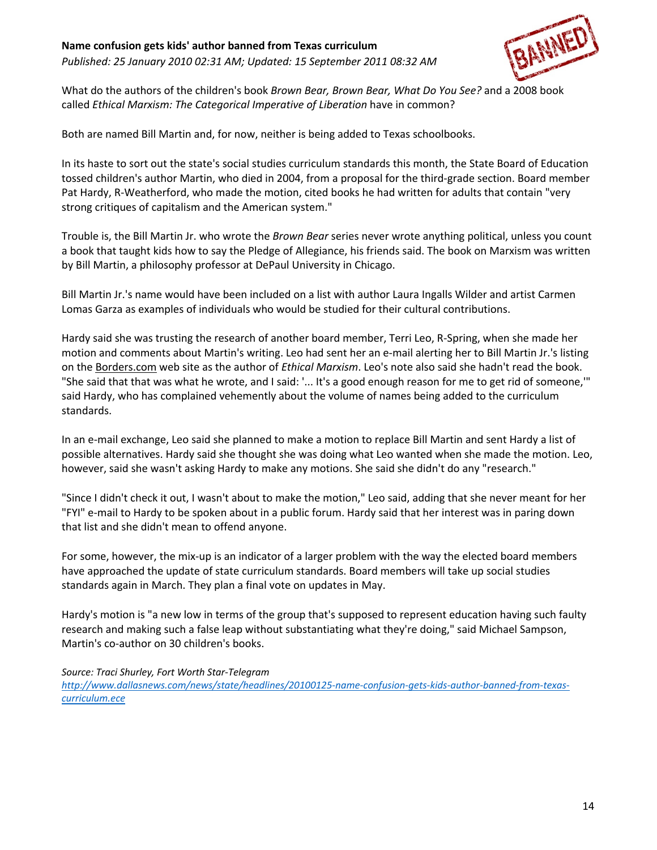

What do the authors of the children's book *Brown Bear, Brown Bear, What Do You See?* and a 2008 book called *Ethical Marxism: The Categorical Imperative of Liberation* have in common?

Both are named Bill Martin and, for now, neither is being added to Texas schoolbooks.

In its haste to sort out the state's social studies curriculum standards this month, the State Board of Education tossed children's author Martin, who died in 2004, from a proposal for the third-grade section. Board member Pat Hardy, R-Weatherford, who made the motion, cited books he had written for adults that contain "very strong critiques of capitalism and the American system."

Trouble is, the Bill Martin Jr. who wrote the *Brown Bear* series never wrote anything political, unless you count a book that taught kids how to say the Pledge of Allegiance, his friends said. The book on Marxism was written by Bill Martin, a philosophy professor at DePaul University in Chicago.

Bill Martin Jr.'s name would have been included on a list with author Laura Ingalls Wilder and artist Carmen Lomas Garza as examples of individuals who would be studied for their cultural contributions.

Hardy said she was trusting the research of another board member, Terri Leo, R-Spring, when she made her motion and comments about Martin's writing. Leo had sent her an e-mail alerting her to Bill Martin Jr.'s listing on the Borders.com web site as the author of *Ethical Marxism*. Leo's note also said she hadn't read the book. "She said that that was what he wrote, and I said: '... It's a good enough reason for me to get rid of someone,'" said Hardy, who has complained vehemently about the volume of names being added to the curriculum standards.

In an e-mail exchange, Leo said she planned to make a motion to replace Bill Martin and sent Hardy a list of possible alternatives. Hardy said she thought she was doing what Leo wanted when she made the motion. Leo, however, said she wasn't asking Hardy to make any motions. She said she didn't do any "research."

"Since I didn't check it out, I wasn't about to make the motion," Leo said, adding that she never meant for her "FYI" e-mail to Hardy to be spoken about in a public forum. Hardy said that her interest was in paring down that list and she didn't mean to offend anyone.

For some, however, the mix-up is an indicator of a larger problem with the way the elected board members have approached the update of state curriculum standards. Board members will take up social studies standards again in March. They plan a final vote on updates in May.

Hardy's motion is "a new low in terms of the group that's supposed to represent education having such faulty research and making such a false leap without substantiating what they're doing," said Michael Sampson, Martin's co-author on 30 children's books.

*Source: Traci Shurley, Fort Worth Star-Telegram http://www.dallasnews.com/news/state/headlines/20100125-name-confusion-gets-kids-author-banned-from-texas-*

*curriculum.ece*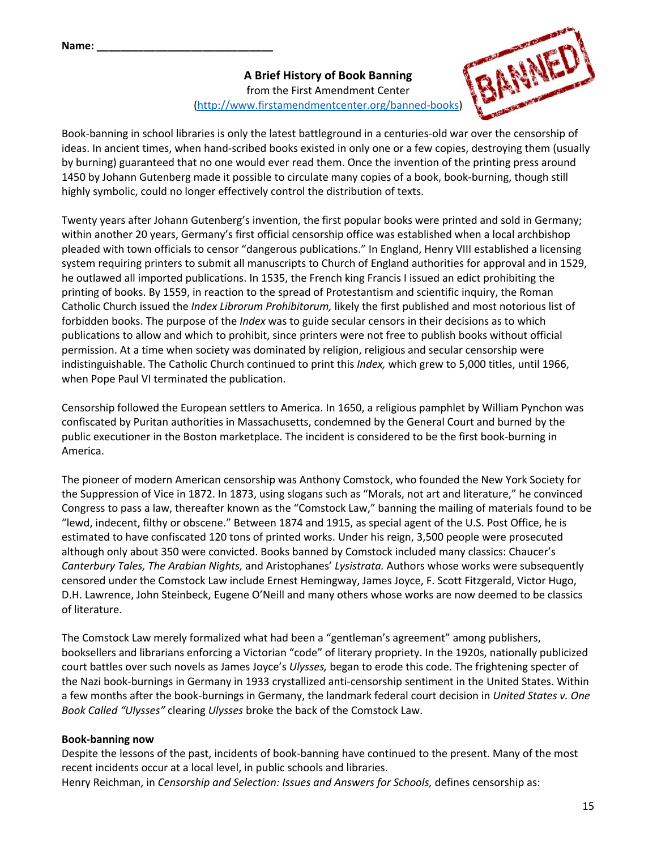**A Brief History of Book Banning** from the First Amendment Center

(http://www.firstamendmentcenter.org/banned-books)



Book-banning in school libraries is only the latest battleground in a centuries-old war over the censorship of ideas. In ancient times, when hand-scribed books existed in only one or a few copies, destroying them (usually by burning) guaranteed that no one would ever read them. Once the invention of the printing press around 1450 by Johann Gutenberg made it possible to circulate many copies of a book, book-burning, though still highly symbolic, could no longer effectively control the distribution of texts.

Twenty years after Johann Gutenberg's invention, the first popular books were printed and sold in Germany; within another 20 years, Germany's first official censorship office was established when a local archbishop pleaded with town officials to censor "dangerous publications." In England, Henry VIII established a licensing system requiring printers to submit all manuscripts to Church of England authorities for approval and in 1529, he outlawed all imported publications. In 1535, the French king Francis I issued an edict prohibiting the printing of books. By 1559, in reaction to the spread of Protestantism and scientific inquiry, the Roman Catholic Church issued the *Index Librorum Prohibitorum,* likely the first published and most notorious list of forbidden books. The purpose of the *Index* was to guide secular censors in their decisions as to which publications to allow and which to prohibit, since printers were not free to publish books without official permission. At a time when society was dominated by religion, religious and secular censorship were indistinguishable. The Catholic Church continued to print this *Index,* which grew to 5,000 titles, until 1966, when Pope Paul VI terminated the publication.

Censorship followed the European settlers to America. In 1650, a religious pamphlet by William Pynchon was confiscated by Puritan authorities in Massachusetts, condemned by the General Court and burned by the public executioner in the Boston marketplace. The incident is considered to be the first book-burning in America.

The pioneer of modern American censorship was Anthony Comstock, who founded the New York Society for the Suppression of Vice in 1872. In 1873, using slogans such as "Morals, not art and literature," he convinced Congress to pass a law, thereafter known as the "Comstock Law," banning the mailing of materials found to be "lewd, indecent, filthy or obscene." Between 1874 and 1915, as special agent of the U.S. Post Office, he is estimated to have confiscated 120 tons of printed works. Under his reign, 3,500 people were prosecuted although only about 350 were convicted. Books banned by Comstock included many classics: Chaucer's *Canterbury Tales, The Arabian Nights,* and Aristophanes' *Lysistrata.* Authors whose works were subsequently censored under the Comstock Law include Ernest Hemingway, James Joyce, F. Scott Fitzgerald, Victor Hugo, D.H. Lawrence, John Steinbeck, Eugene O'Neill and many others whose works are now deemed to be classics of literature.

The Comstock Law merely formalized what had been a "gentleman's agreement" among publishers, booksellers and librarians enforcing a Victorian "code" of literary propriety. In the 1920s, nationally publicized court battles over such novels as James Joyce's *Ulysses,* began to erode this code. The frightening specter of the Nazi book-burnings in Germany in 1933 crystallized anti-censorship sentiment in the United States. Within a few months after the book-burnings in Germany, the landmark federal court decision in *United States v. One Book Called "Ulysses"* clearing *Ulysses* broke the back of the Comstock Law.

# **Book-banning now**

Despite the lessons of the past, incidents of book-banning have continued to the present. Many of the most recent incidents occur at a local level, in public schools and libraries. Henry Reichman, in *Censorship and Selection: Issues and Answers for Schools,* defines censorship as: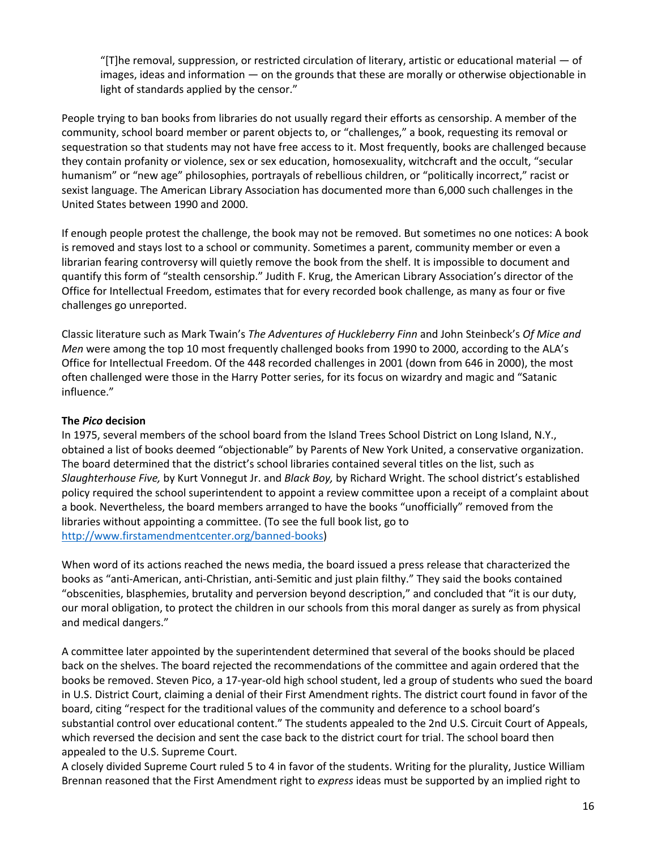"[T]he removal, suppression, or restricted circulation of literary, artistic or educational material — of images, ideas and information — on the grounds that these are morally or otherwise objectionable in light of standards applied by the censor."

People trying to ban books from libraries do not usually regard their efforts as censorship. A member of the community, school board member or parent objects to, or "challenges," a book, requesting its removal or sequestration so that students may not have free access to it. Most frequently, books are challenged because they contain profanity or violence, sex or sex education, homosexuality, witchcraft and the occult, "secular humanism" or "new age" philosophies, portrayals of rebellious children, or "politically incorrect," racist or sexist language. The American Library Association has documented more than 6,000 such challenges in the United States between 1990 and 2000.

If enough people protest the challenge, the book may not be removed. But sometimes no one notices: A book is removed and stays lost to a school or community. Sometimes a parent, community member or even a librarian fearing controversy will quietly remove the book from the shelf. It is impossible to document and quantify this form of "stealth censorship." Judith F. Krug, the American Library Association's director of the Office for Intellectual Freedom, estimates that for every recorded book challenge, as many as four or five challenges go unreported.

Classic literature such as Mark Twain's *The Adventures of Huckleberry Finn* and John Steinbeck's *Of Mice and Men* were among the top 10 most frequently challenged books from 1990 to 2000, according to the ALA's Office for Intellectual Freedom. Of the 448 recorded challenges in 2001 (down from 646 in 2000), the most often challenged were those in the Harry Potter series, for its focus on wizardry and magic and "Satanic influence."

## **The** *Pico* **decision**

In 1975, several members of the school board from the Island Trees School District on Long Island, N.Y., obtained a list of books deemed "objectionable" by Parents of New York United, a conservative organization. The board determined that the district's school libraries contained several titles on the list, such as *Slaughterhouse Five,* by Kurt Vonnegut Jr. and *Black Boy,* by Richard Wright. The school district's established policy required the school superintendent to appoint a review committee upon a receipt of a complaint about a book. Nevertheless, the board members arranged to have the books "unofficially" removed from the libraries without appointing a committee. (To see the full book list, go to http://www.firstamendmentcenter.org/banned-books)

When word of its actions reached the news media, the board issued a press release that characterized the books as "anti-American, anti-Christian, anti-Semitic and just plain filthy." They said the books contained "obscenities, blasphemies, brutality and perversion beyond description," and concluded that "it is our duty, our moral obligation, to protect the children in our schools from this moral danger as surely as from physical and medical dangers."

A committee later appointed by the superintendent determined that several of the books should be placed back on the shelves. The board rejected the recommendations of the committee and again ordered that the books be removed. Steven Pico, a 17-year-old high school student, led a group of students who sued the board in U.S. District Court, claiming a denial of their First Amendment rights. The district court found in favor of the board, citing "respect for the traditional values of the community and deference to a school board's substantial control over educational content." The students appealed to the 2nd U.S. Circuit Court of Appeals, which reversed the decision and sent the case back to the district court for trial. The school board then appealed to the U.S. Supreme Court.

A closely divided Supreme Court ruled 5 to 4 in favor of the students. Writing for the plurality, Justice William Brennan reasoned that the First Amendment right to *express* ideas must be supported by an implied right to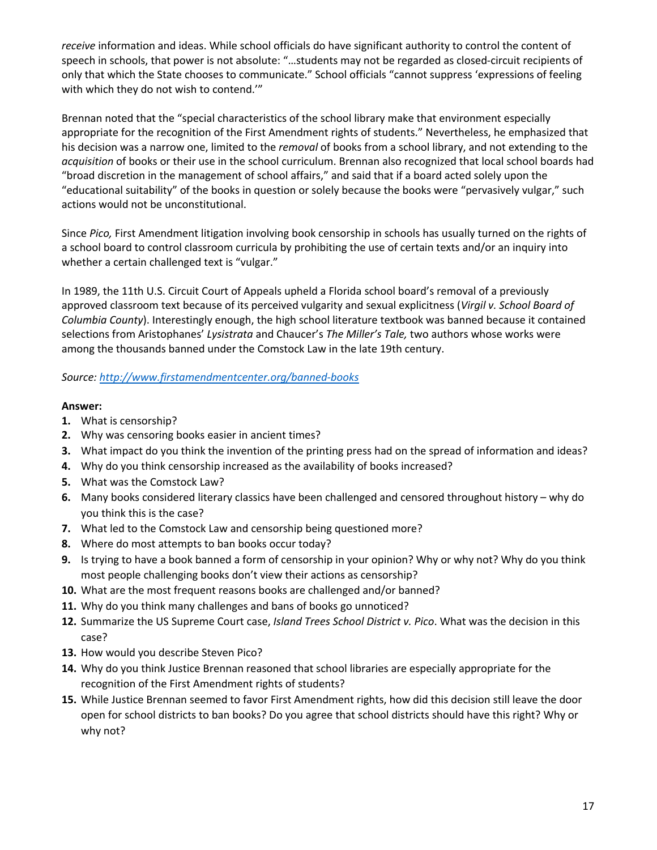*receive* information and ideas. While school officials do have significant authority to control the content of speech in schools, that power is not absolute: "…students may not be regarded as closed-circuit recipients of only that which the State chooses to communicate." School officials "cannot suppress 'expressions of feeling with which they do not wish to contend.'"

Brennan noted that the "special characteristics of the school library make that environment especially appropriate for the recognition of the First Amendment rights of students." Nevertheless, he emphasized that his decision was a narrow one, limited to the *removal* of books from a school library, and not extending to the *acquisition* of books or their use in the school curriculum. Brennan also recognized that local school boards had "broad discretion in the management of school affairs," and said that if a board acted solely upon the "educational suitability" of the books in question or solely because the books were "pervasively vulgar," such actions would not be unconstitutional.

Since *Pico,* First Amendment litigation involving book censorship in schools has usually turned on the rights of a school board to control classroom curricula by prohibiting the use of certain texts and/or an inquiry into whether a certain challenged text is "vulgar."

In 1989, the 11th U.S. Circuit Court of Appeals upheld a Florida school board's removal of a previously approved classroom text because of its perceived vulgarity and sexual explicitness (*Virgil v. School Board of Columbia County*). Interestingly enough, the high school literature textbook was banned because it contained selections from Aristophanes' *Lysistrata* and Chaucer's *The Miller's Tale,* two authors whose works were among the thousands banned under the Comstock Law in the late 19th century.

*Source: http://www.firstamendmentcenter.org/banned-books*

# **Answer:**

- **1.** What is censorship?
- **2.** Why was censoring books easier in ancient times?
- **3.** What impact do you think the invention of the printing press had on the spread of information and ideas?
- **4.** Why do you think censorship increased as the availability of books increased?
- **5.** What was the Comstock Law?
- **6.** Many books considered literary classics have been challenged and censored throughout history why do you think this is the case?
- **7.** What led to the Comstock Law and censorship being questioned more?
- **8.** Where do most attempts to ban books occur today?
- **9.** Is trying to have a book banned a form of censorship in your opinion? Why or why not? Why do you think most people challenging books don't view their actions as censorship?
- **10.** What are the most frequent reasons books are challenged and/or banned?
- **11.** Why do you think many challenges and bans of books go unnoticed?
- **12.** Summarize the US Supreme Court case, *Island Trees School District v. Pico*. What was the decision in this case?
- **13.** How would you describe Steven Pico?
- **14.** Why do you think Justice Brennan reasoned that school libraries are especially appropriate for the recognition of the First Amendment rights of students?
- **15.** While Justice Brennan seemed to favor First Amendment rights, how did this decision still leave the door open for school districts to ban books? Do you agree that school districts should have this right? Why or why not?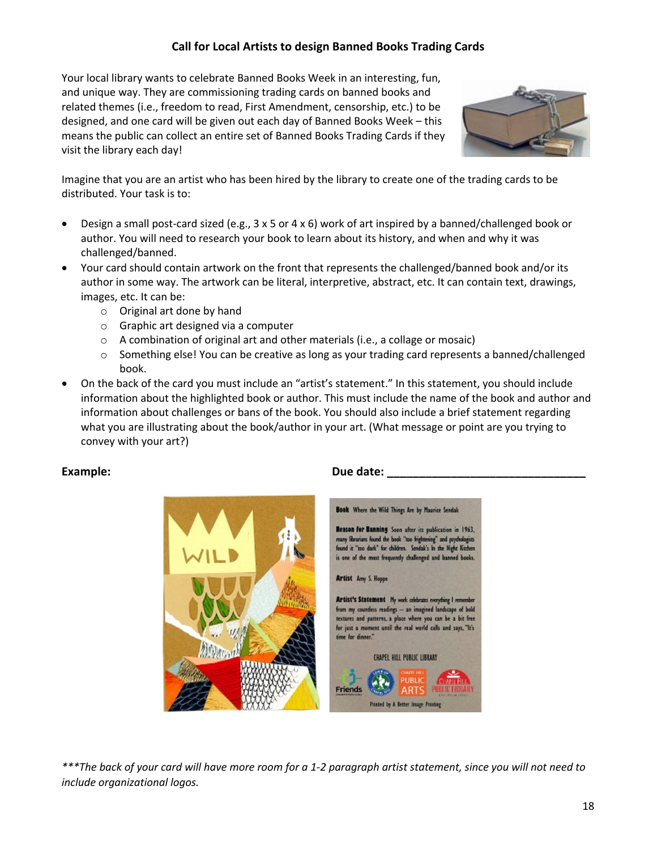# **Call for Local Artists to design Banned Books Trading Cards**

Your local library wants to celebrate Banned Books Week in an interesting, fun, and unique way. They are commissioning trading cards on banned books and related themes (i.e., freedom to read, First Amendment, censorship, etc.) to be designed, and one card will be given out each day of Banned Books Week – this means the public can collect an entire set of Banned Books Trading Cards if they visit the library each day!



Imagine that you are an artist who has been hired by the library to create one of the trading cards to be distributed. Your task is to:

- Design a small post-card sized (e.g., 3 x 5 or 4 x 6) work of art inspired by a banned/challenged book or author. You will need to research your book to learn about its history, and when and why it was challenged/banned.
- Your card should contain artwork on the front that represents the challenged/banned book and/or its author in some way. The artwork can be literal, interpretive, abstract, etc. It can contain text, drawings, images, etc. It can be:
	- o Original art done by hand
	- o Graphic art designed via a computer
	- o A combination of original art and other materials (i.e., a collage or mosaic)
	- o Something else! You can be creative as long as your trading card represents a banned/challenged book.
- On the back of the card you must include an "artist's statement." In this statement, you should include information about the highlighted book or author. This must include the name of the book and author and information about challenges or bans of the book. You should also include a brief statement regarding what you are illustrating about the book/author in your art. (What message or point are you trying to convey with your art?)



#### **Example: Due date: Due date:**



*\*\*\*The back of your card will have more room for a 1-2 paragraph artist statement, since you will not need to include organizational logos.*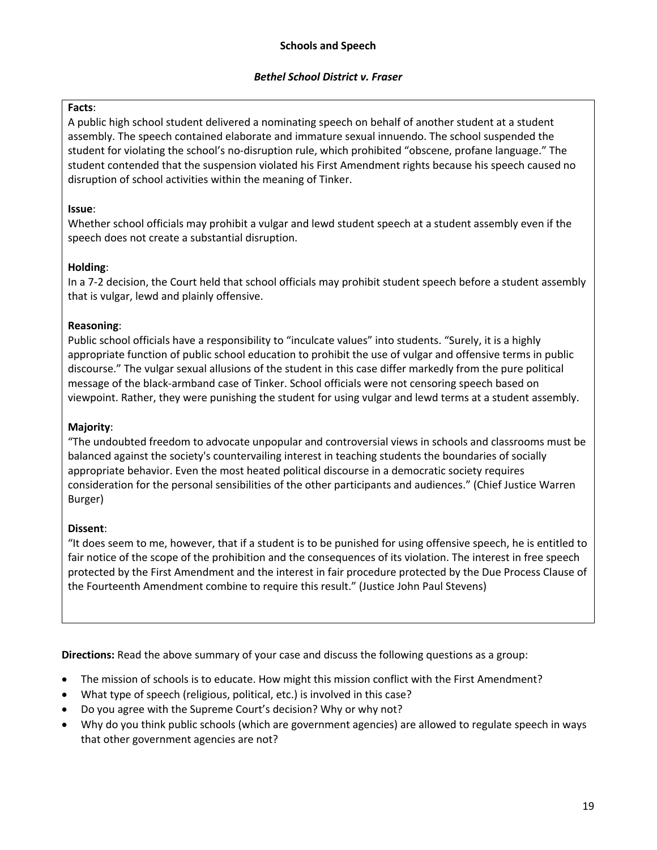# *Bethel School District v. Fraser*

#### **Facts**:

A public high school student delivered a nominating speech on behalf of another student at a student assembly. The speech contained elaborate and immature sexual innuendo. The school suspended the student for violating the school's no-disruption rule, which prohibited "obscene, profane language." The student contended that the suspension violated his First Amendment rights because his speech caused no disruption of school activities within the meaning of Tinker.

#### **Issue**:

Whether school officials may prohibit a vulgar and lewd student speech at a student assembly even if the speech does not create a substantial disruption.

#### **Holding**:

In a 7-2 decision, the Court held that school officials may prohibit student speech before a student assembly that is vulgar, lewd and plainly offensive.

#### **Reasoning**:

Public school officials have a responsibility to "inculcate values" into students. "Surely, it is a highly appropriate function of public school education to prohibit the use of vulgar and offensive terms in public discourse." The vulgar sexual allusions of the student in this case differ markedly from the pure political message of the black-armband case of Tinker. School officials were not censoring speech based on viewpoint. Rather, they were punishing the student for using vulgar and lewd terms at a student assembly.

#### **Majority**:

"The undoubted freedom to advocate unpopular and controversial views in schools and classrooms must be balanced against the society's countervailing interest in teaching students the boundaries of socially appropriate behavior. Even the most heated political discourse in a democratic society requires consideration for the personal sensibilities of the other participants and audiences." (Chief Justice Warren Burger)

# **Dissent**:

"It does seem to me, however, that if a student is to be punished for using offensive speech, he is entitled to fair notice of the scope of the prohibition and the consequences of its violation. The interest in free speech protected by the First Amendment and the interest in fair procedure protected by the Due Process Clause of the Fourteenth Amendment combine to require this result." (Justice John Paul Stevens)

- The mission of schools is to educate. How might this mission conflict with the First Amendment?
- What type of speech (religious, political, etc.) is involved in this case?
- Do you agree with the Supreme Court's decision? Why or why not?
- Why do you think public schools (which are government agencies) are allowed to regulate speech in ways that other government agencies are not?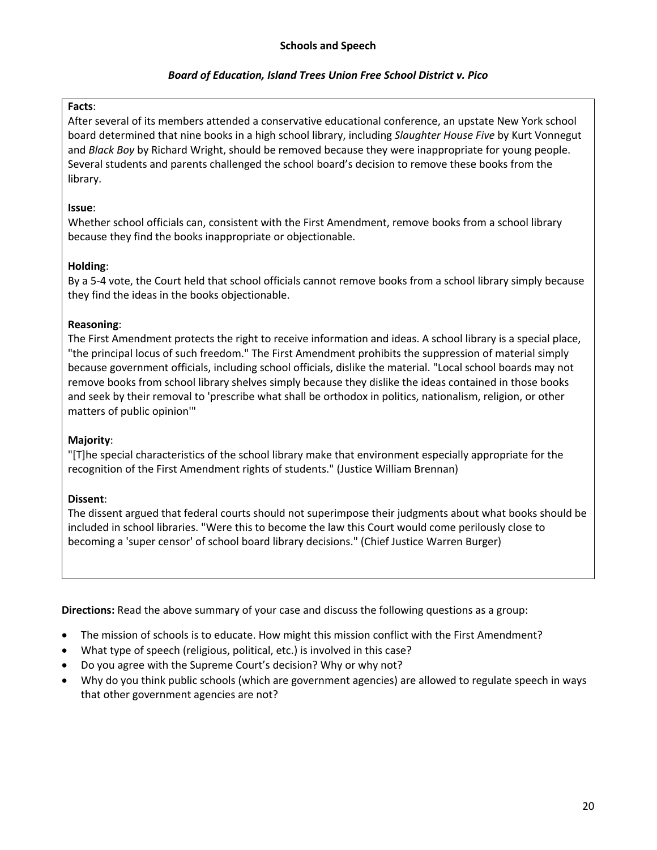# *Board of Education, Island Trees Union Free School District v. Pico*

# **Facts**:

After several of its members attended a conservative educational conference, an upstate New York school board determined that nine books in a high school library, including *Slaughter House Five* by Kurt Vonnegut and *Black Boy* by Richard Wright, should be removed because they were inappropriate for young people. Several students and parents challenged the school board's decision to remove these books from the library.

# **Issue**:

Whether school officials can, consistent with the First Amendment, remove books from a school library because they find the books inappropriate or objectionable.

# **Holding**:

By a 5-4 vote, the Court held that school officials cannot remove books from a school library simply because they find the ideas in the books objectionable.

# **Reasoning**:

The First Amendment protects the right to receive information and ideas. A school library is a special place, "the principal locus of such freedom." The First Amendment prohibits the suppression of material simply because government officials, including school officials, dislike the material. "Local school boards may not remove books from school library shelves simply because they dislike the ideas contained in those books and seek by their removal to 'prescribe what shall be orthodox in politics, nationalism, religion, or other matters of public opinion'"

# **Majority**:

"[T]he special characteristics of the school library make that environment especially appropriate for the recognition of the First Amendment rights of students." (Justice William Brennan)

# **Dissent**:

The dissent argued that federal courts should not superimpose their judgments about what books should be included in school libraries. "Were this to become the law this Court would come perilously close to becoming a 'super censor' of school board library decisions." (Chief Justice Warren Burger)

- The mission of schools is to educate. How might this mission conflict with the First Amendment?
- What type of speech (religious, political, etc.) is involved in this case?
- Do you agree with the Supreme Court's decision? Why or why not?
- Why do you think public schools (which are government agencies) are allowed to regulate speech in ways that other government agencies are not?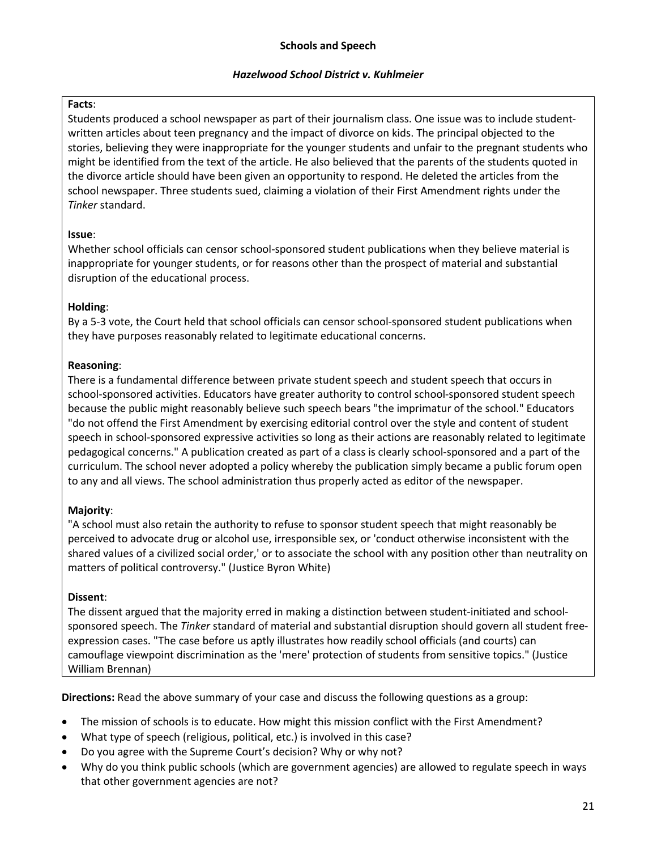#### *Hazelwood School District v. Kuhlmeier*

#### **Facts**:

Students produced a school newspaper as part of their journalism class. One issue was to include studentwritten articles about teen pregnancy and the impact of divorce on kids. The principal objected to the stories, believing they were inappropriate for the younger students and unfair to the pregnant students who might be identified from the text of the article. He also believed that the parents of the students quoted in the divorce article should have been given an opportunity to respond. He deleted the articles from the school newspaper. Three students sued, claiming a violation of their First Amendment rights under the *Tinker* standard.

#### **Issue**:

Whether school officials can censor school-sponsored student publications when they believe material is inappropriate for younger students, or for reasons other than the prospect of material and substantial disruption of the educational process.

#### **Holding**:

By a 5-3 vote, the Court held that school officials can censor school-sponsored student publications when they have purposes reasonably related to legitimate educational concerns.

#### **Reasoning**:

There is a fundamental difference between private student speech and student speech that occurs in school-sponsored activities. Educators have greater authority to control school-sponsored student speech because the public might reasonably believe such speech bears "the imprimatur of the school." Educators "do not offend the First Amendment by exercising editorial control over the style and content of student speech in school-sponsored expressive activities so long as their actions are reasonably related to legitimate pedagogical concerns." A publication created as part of a class is clearly school-sponsored and a part of the curriculum. The school never adopted a policy whereby the publication simply became a public forum open to any and all views. The school administration thus properly acted as editor of the newspaper.

# **Majority**:

"A school must also retain the authority to refuse to sponsor student speech that might reasonably be perceived to advocate drug or alcohol use, irresponsible sex, or 'conduct otherwise inconsistent with the shared values of a civilized social order,' or to associate the school with any position other than neutrality on matters of political controversy." (Justice Byron White)

# **Dissent**:

The dissent argued that the majority erred in making a distinction between student-initiated and schoolsponsored speech. The *Tinker* standard of material and substantial disruption should govern all student freeexpression cases. "The case before us aptly illustrates how readily school officials (and courts) can camouflage viewpoint discrimination as the 'mere' protection of students from sensitive topics." (Justice William Brennan)

- The mission of schools is to educate. How might this mission conflict with the First Amendment?
- What type of speech (religious, political, etc.) is involved in this case?
- Do you agree with the Supreme Court's decision? Why or why not?
- Why do you think public schools (which are government agencies) are allowed to regulate speech in ways that other government agencies are not?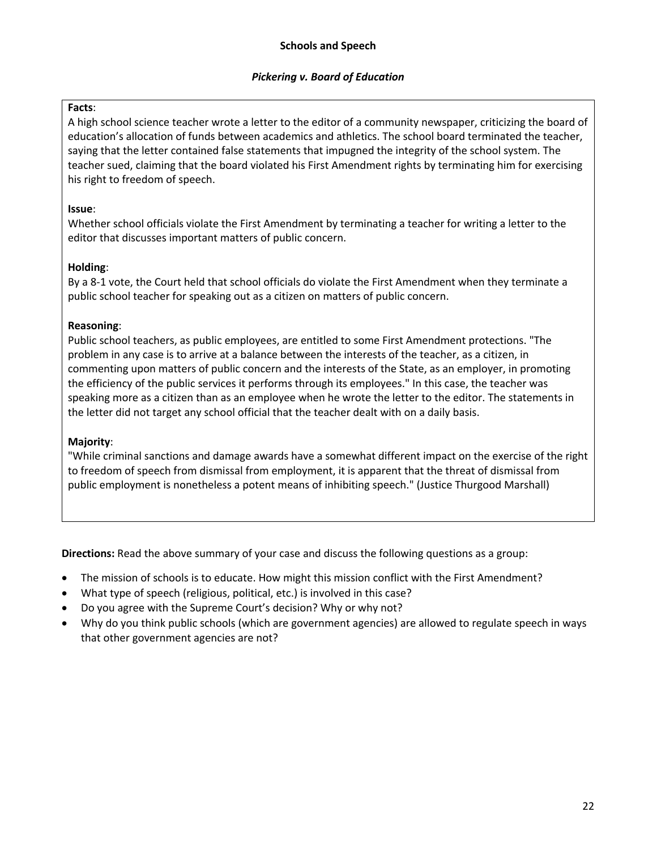#### *Pickering v. Board of Education*

#### **Facts**:

A high school science teacher wrote a letter to the editor of a community newspaper, criticizing the board of education's allocation of funds between academics and athletics. The school board terminated the teacher, saying that the letter contained false statements that impugned the integrity of the school system. The teacher sued, claiming that the board violated his First Amendment rights by terminating him for exercising his right to freedom of speech.

#### **Issue**:

Whether school officials violate the First Amendment by terminating a teacher for writing a letter to the editor that discusses important matters of public concern.

#### **Holding**:

By a 8-1 vote, the Court held that school officials do violate the First Amendment when they terminate a public school teacher for speaking out as a citizen on matters of public concern.

#### **Reasoning**:

Public school teachers, as public employees, are entitled to some First Amendment protections. "The problem in any case is to arrive at a balance between the interests of the teacher, as a citizen, in commenting upon matters of public concern and the interests of the State, as an employer, in promoting the efficiency of the public services it performs through its employees." In this case, the teacher was speaking more as a citizen than as an employee when he wrote the letter to the editor. The statements in the letter did not target any school official that the teacher dealt with on a daily basis.

#### **Majority**:

"While criminal sanctions and damage awards have a somewhat different impact on the exercise of the right to freedom of speech from dismissal from employment, it is apparent that the threat of dismissal from public employment is nonetheless a potent means of inhibiting speech." (Justice Thurgood Marshall)

- The mission of schools is to educate. How might this mission conflict with the First Amendment?
- What type of speech (religious, political, etc.) is involved in this case?
- Do you agree with the Supreme Court's decision? Why or why not?
- Why do you think public schools (which are government agencies) are allowed to regulate speech in ways that other government agencies are not?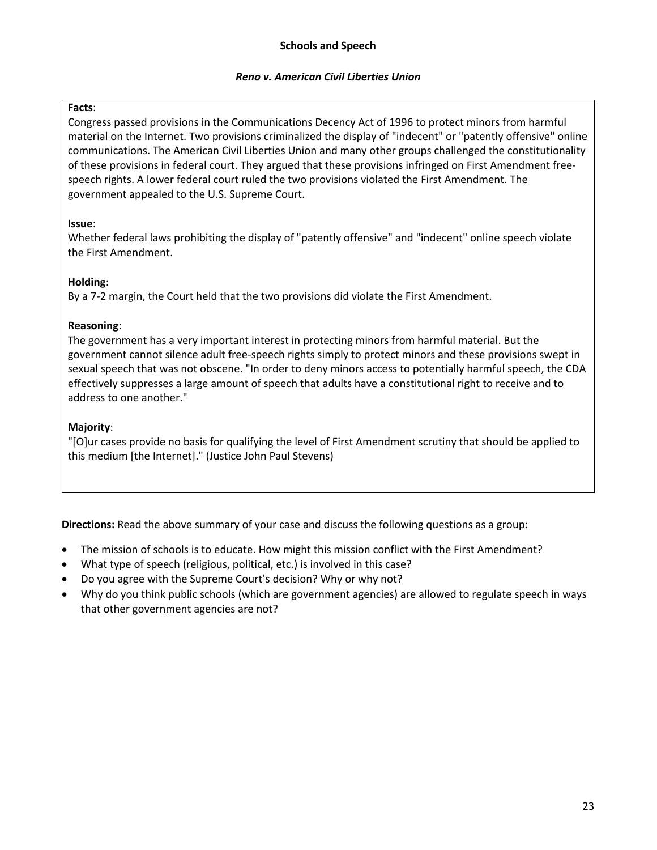#### *Reno v. American Civil Liberties Union*

#### **Facts**:

Congress passed provisions in the Communications Decency Act of 1996 to protect minors from harmful material on the Internet. Two provisions criminalized the display of "indecent" or "patently offensive" online communications. The American Civil Liberties Union and many other groups challenged the constitutionality of these provisions in federal court. They argued that these provisions infringed on First Amendment freespeech rights. A lower federal court ruled the two provisions violated the First Amendment. The government appealed to the U.S. Supreme Court.

#### **Issue**:

Whether federal laws prohibiting the display of "patently offensive" and "indecent" online speech violate the First Amendment.

#### **Holding**:

By a 7-2 margin, the Court held that the two provisions did violate the First Amendment.

#### **Reasoning**:

The government has a very important interest in protecting minors from harmful material. But the government cannot silence adult free-speech rights simply to protect minors and these provisions swept in sexual speech that was not obscene. "In order to deny minors access to potentially harmful speech, the CDA effectively suppresses a large amount of speech that adults have a constitutional right to receive and to address to one another."

## **Majority**:

"[O]ur cases provide no basis for qualifying the level of First Amendment scrutiny that should be applied to this medium [the Internet]." (Justice John Paul Stevens)

- The mission of schools is to educate. How might this mission conflict with the First Amendment?
- What type of speech (religious, political, etc.) is involved in this case?
- Do you agree with the Supreme Court's decision? Why or why not?
- Why do you think public schools (which are government agencies) are allowed to regulate speech in ways that other government agencies are not?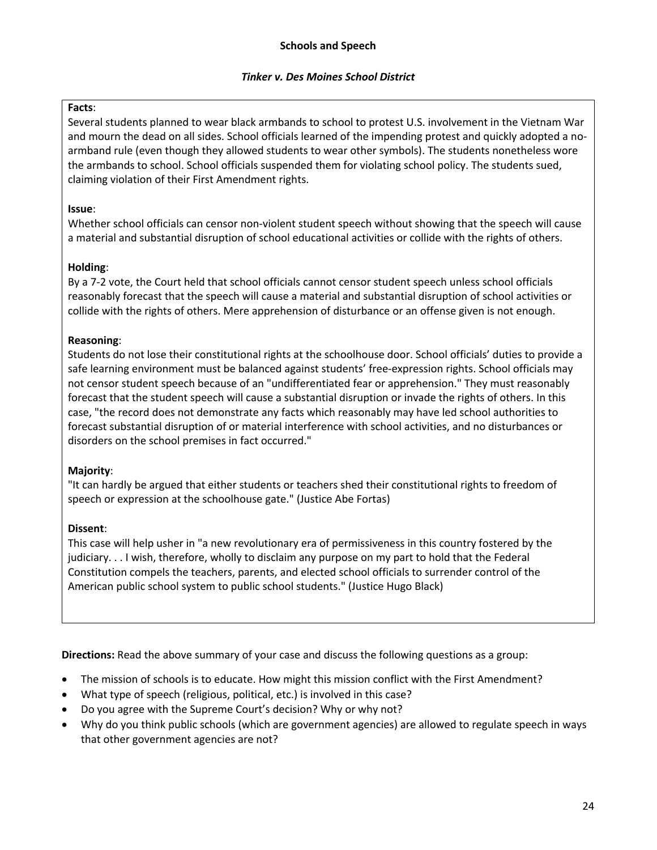## *Tinker v. Des Moines School District*

#### **Facts**:

Several students planned to wear black armbands to school to protest U.S. involvement in the Vietnam War and mourn the dead on all sides. School officials learned of the impending protest and quickly adopted a noarmband rule (even though they allowed students to wear other symbols). The students nonetheless wore the armbands to school. School officials suspended them for violating school policy. The students sued, claiming violation of their First Amendment rights.

## **Issue**:

Whether school officials can censor non-violent student speech without showing that the speech will cause a material and substantial disruption of school educational activities or collide with the rights of others.

#### **Holding**:

By a 7-2 vote, the Court held that school officials cannot censor student speech unless school officials reasonably forecast that the speech will cause a material and substantial disruption of school activities or collide with the rights of others. Mere apprehension of disturbance or an offense given is not enough.

#### **Reasoning**:

Students do not lose their constitutional rights at the schoolhouse door. School officials' duties to provide a safe learning environment must be balanced against students' free-expression rights. School officials may not censor student speech because of an "undifferentiated fear or apprehension." They must reasonably forecast that the student speech will cause a substantial disruption or invade the rights of others. In this case, "the record does not demonstrate any facts which reasonably may have led school authorities to forecast substantial disruption of or material interference with school activities, and no disturbances or disorders on the school premises in fact occurred."

# **Majority**:

"It can hardly be argued that either students or teachers shed their constitutional rights to freedom of speech or expression at the schoolhouse gate." (Justice Abe Fortas)

# **Dissent**:

This case will help usher in "a new revolutionary era of permissiveness in this country fostered by the judiciary. . . I wish, therefore, wholly to disclaim any purpose on my part to hold that the Federal Constitution compels the teachers, parents, and elected school officials to surrender control of the American public school system to public school students." (Justice Hugo Black)

- The mission of schools is to educate. How might this mission conflict with the First Amendment?
- What type of speech (religious, political, etc.) is involved in this case?
- Do you agree with the Supreme Court's decision? Why or why not?
- Why do you think public schools (which are government agencies) are allowed to regulate speech in ways that other government agencies are not?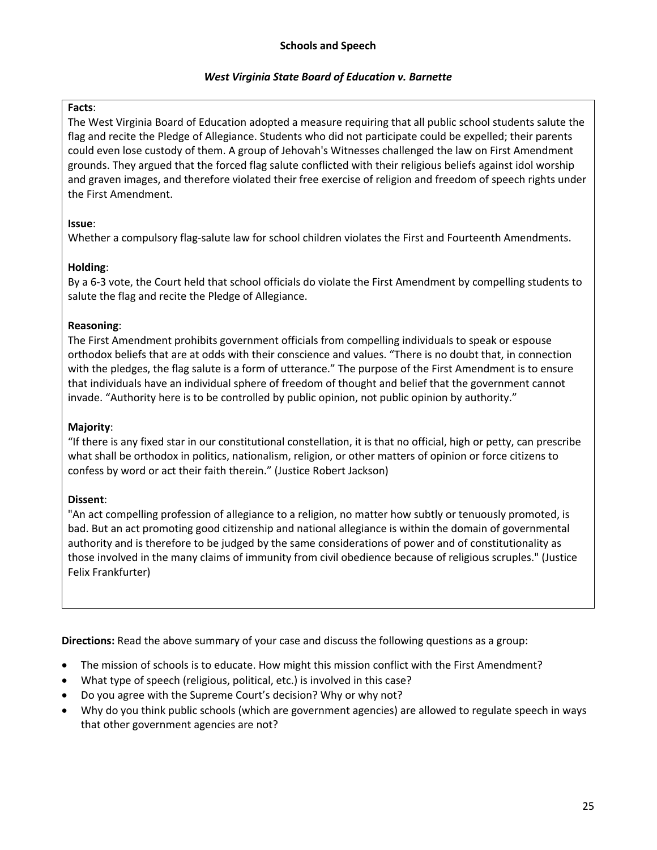#### *West Virginia State Board of Education v. Barnette*

#### **Facts**:

The West Virginia Board of Education adopted a measure requiring that all public school students salute the flag and recite the Pledge of Allegiance. Students who did not participate could be expelled; their parents could even lose custody of them. A group of Jehovah's Witnesses challenged the law on First Amendment grounds. They argued that the forced flag salute conflicted with their religious beliefs against idol worship and graven images, and therefore violated their free exercise of religion and freedom of speech rights under the First Amendment.

#### **Issue**:

Whether a compulsory flag-salute law for school children violates the First and Fourteenth Amendments.

#### **Holding**:

By a 6-3 vote, the Court held that school officials do violate the First Amendment by compelling students to salute the flag and recite the Pledge of Allegiance.

#### **Reasoning**:

The First Amendment prohibits government officials from compelling individuals to speak or espouse orthodox beliefs that are at odds with their conscience and values. "There is no doubt that, in connection with the pledges, the flag salute is a form of utterance." The purpose of the First Amendment is to ensure that individuals have an individual sphere of freedom of thought and belief that the government cannot invade. "Authority here is to be controlled by public opinion, not public opinion by authority."

#### **Majority**:

"If there is any fixed star in our constitutional constellation, it is that no official, high or petty, can prescribe what shall be orthodox in politics, nationalism, religion, or other matters of opinion or force citizens to confess by word or act their faith therein." (Justice Robert Jackson)

# **Dissent**:

"An act compelling profession of allegiance to a religion, no matter how subtly or tenuously promoted, is bad. But an act promoting good citizenship and national allegiance is within the domain of governmental authority and is therefore to be judged by the same considerations of power and of constitutionality as those involved in the many claims of immunity from civil obedience because of religious scruples." (Justice Felix Frankfurter)

- The mission of schools is to educate. How might this mission conflict with the First Amendment?
- What type of speech (religious, political, etc.) is involved in this case?
- Do you agree with the Supreme Court's decision? Why or why not?
- Why do you think public schools (which are government agencies) are allowed to regulate speech in ways that other government agencies are not?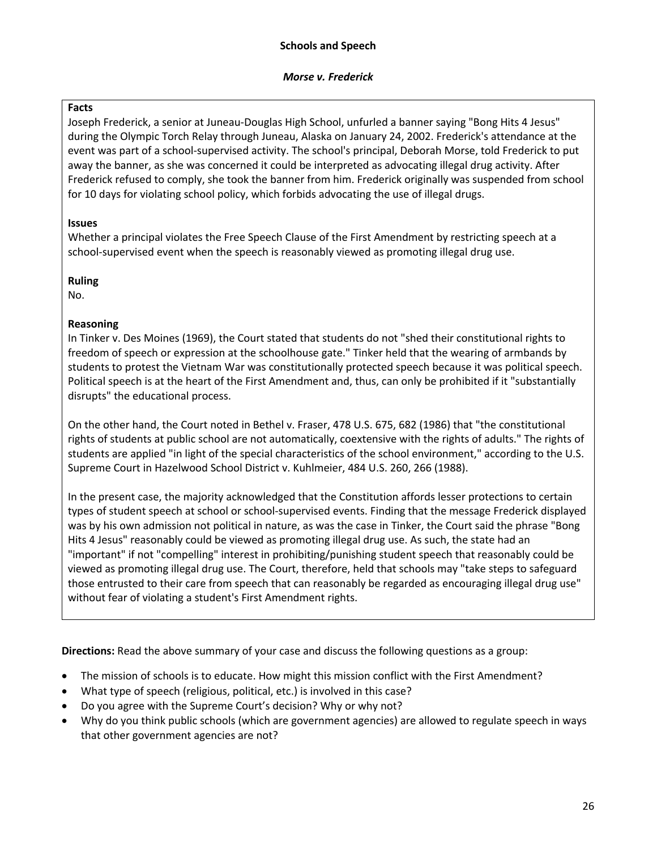## **Facts**

Joseph Frederick, a senior at Juneau-Douglas High School, unfurled a banner saying "Bong Hits 4 Jesus" during the Olympic Torch Relay through Juneau, Alaska on January 24, 2002. Frederick's attendance at the event was part of a school-supervised activity. The school's principal, Deborah Morse, told Frederick to put away the banner, as she was concerned it could be interpreted as advocating illegal drug activity. After Frederick refused to comply, she took the banner from him. Frederick originally was suspended from school for 10 days for violating school policy, which forbids advocating the use of illegal drugs.

#### **Issues**

Whether a principal violates the Free Speech Clause of the First Amendment by restricting speech at a school-supervised event when the speech is reasonably viewed as promoting illegal drug use.

#### **Ruling**

No.

# **Reasoning**

In Tinker v. Des Moines (1969), the Court stated that students do not "shed their constitutional rights to freedom of speech or expression at the schoolhouse gate." Tinker held that the wearing of armbands by students to protest the Vietnam War was constitutionally protected speech because it was political speech. Political speech is at the heart of the First Amendment and, thus, can only be prohibited if it "substantially disrupts" the educational process.

On the other hand, the Court noted in Bethel v. Fraser, 478 U.S. 675, 682 (1986) that "the constitutional rights of students at public school are not automatically, coextensive with the rights of adults." The rights of students are applied "in light of the special characteristics of the school environment," according to the U.S. Supreme Court in Hazelwood School District v. Kuhlmeier, 484 U.S. 260, 266 (1988).

In the present case, the majority acknowledged that the Constitution affords lesser protections to certain types of student speech at school or school-supervised events. Finding that the message Frederick displayed was by his own admission not political in nature, as was the case in Tinker, the Court said the phrase "Bong Hits 4 Jesus" reasonably could be viewed as promoting illegal drug use. As such, the state had an "important" if not "compelling" interest in prohibiting/punishing student speech that reasonably could be viewed as promoting illegal drug use. The Court, therefore, held that schools may "take steps to safeguard those entrusted to their care from speech that can reasonably be regarded as encouraging illegal drug use" without fear of violating a student's First Amendment rights.

- The mission of schools is to educate. How might this mission conflict with the First Amendment?
- What type of speech (religious, political, etc.) is involved in this case?
- Do you agree with the Supreme Court's decision? Why or why not?
- Why do you think public schools (which are government agencies) are allowed to regulate speech in ways that other government agencies are not?